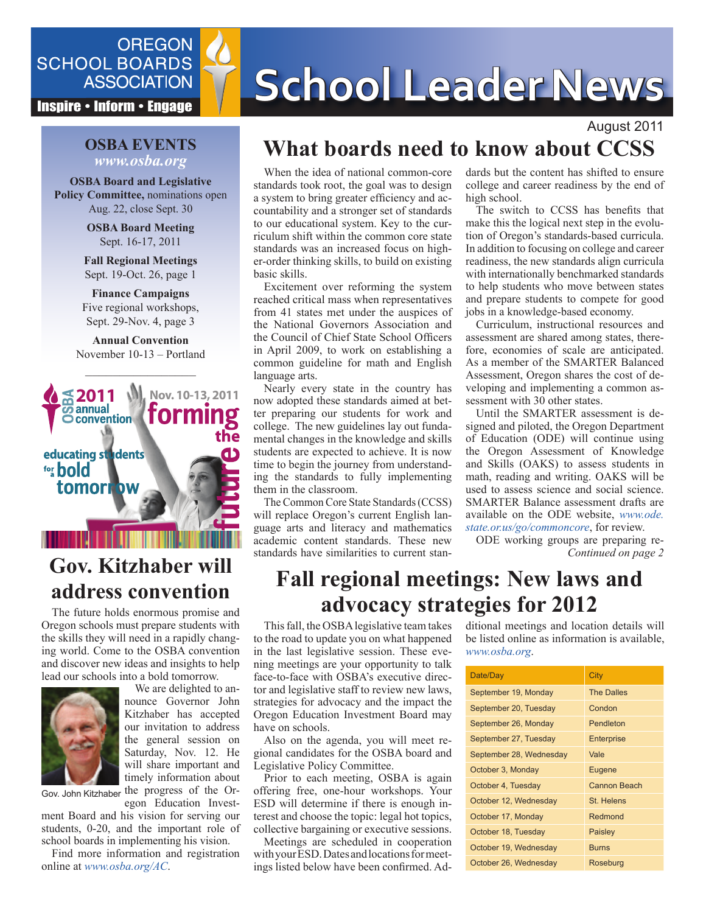

**Inspire • Inform • Engage** 

#### **OSBA EVENTS** *www.osba.org*

**OSBA Board and Legislative**  Policy Committee, nominations open Aug. 22, close Sept. 30

> **OSBA Board Meeting** Sept. 16-17, 2011

**Fall Regional Meetings** Sept. 19-Oct. 26, page 1

**Finance Campaigns** Five regional workshops, Sept. 29-Nov. 4, page 3

**Annual Convention** November 10-13 – Portland



# **Gov. Kitzhaber will address convention**

The future holds enormous promise and Oregon schools must prepare students with the skills they will need in a rapidly changing world. Come to the OSBA convention and discover new ideas and insights to help lead our schools into a bold tomorrow.



We are delighted to announce Governor John Kitzhaber has accepted our invitation to address the general session on Saturday, Nov. 12. He will share important and timely information about

Gov. John Kitzhaber the progress of the Oregon Education Invest-

ment Board and his vision for serving our students, 0-20, and the important role of school boards in implementing his vision.

Find more information and registration online at *<www.osba.org/AC>*.

# SCHOOL BOARDS<br>ASSOCIATION SChool Leader News

#### August 2011

# **What boards need to know about CCSS**

When the idea of national common-core standards took root, the goal was to design a system to bring greater efficiency and accountability and a stronger set of standards to our educational system. Key to the curriculum shift within the common core state standards was an increased focus on higher-order thinking skills, to build on existing basic skills.

Excitement over reforming the system reached critical mass when representatives from 41 states met under the auspices of the National Governors Association and the Council of Chief State School Officers in April 2009, to work on establishing a common guideline for math and English language arts.

Nearly every state in the country has now adopted these standards aimed at better preparing our students for work and college. The new guidelines lay out fundamental changes in the knowledge and skills students are expected to achieve. It is now time to begin the journey from understanding the standards to fully implementing them in the classroom.

The Common Core State Standards (CCSS) will replace Oregon's current English language arts and literacy and mathematics academic content standards. These new standards have similarities to current standards but the content has shifted to ensure college and career readiness by the end of high school.

The switch to CCSS has benefits that make this the logical next step in the evolution of Oregon's standards-based curricula. In addition to focusing on college and career readiness, the new standards align curricula with internationally benchmarked standards to help students who move between states and prepare students to compete for good jobs in a knowledge-based economy.

Curriculum, instructional resources and assessment are shared among states, therefore, economies of scale are anticipated. As a member of the SMARTER Balanced Assessment, Oregon shares the cost of developing and implementing a common assessment with 30 other states.

Until the SMARTER assessment is designed and piloted, the Oregon Department of Education (ODE) will continue using the Oregon Assessment of Knowledge and Skills (OAKS) to assess students in math, reading and writing. OAKS will be used to assess science and social science. SMARTER Balance assessment drafts are available on the ODE website, *[www.ode.](www.ode.state.or.us/go/commoncore) [state.or.us/go/commoncore](www.ode.state.or.us/go/commoncore)*, for review.

*Continued on page 2* ODE working groups are preparing re-

# **Fall regional meetings: New laws and advocacy strategies for 2012**

This fall, the OSBA legislative team takes to the road to update you on what happened in the last legislative session. These evening meetings are your opportunity to talk face-to-face with OSBA's executive director and legislative staff to review new laws, strategies for advocacy and the impact the Oregon Education Investment Board may have on schools.

Also on the agenda, you will meet regional candidates for the OSBA board and Legislative Policy Committee.

Prior to each meeting, OSBA is again offering free, one-hour workshops. Your ESD will determine if there is enough interest and choose the topic: legal hot topics, collective bargaining or executive sessions.

Meetings are scheduled in cooperation with your ESD. Dates and locations for meetings listed below have been confirmed. Additional meetings and location details will be listed online as information is available, *<www.osba.org>*.

| Date/Day                | City                |
|-------------------------|---------------------|
| September 19, Monday    | <b>The Dalles</b>   |
| September 20, Tuesday   | Condon              |
| September 26, Monday    | Pendleton           |
| September 27, Tuesday   | Enterprise          |
| September 28, Wednesday | Vale                |
| October 3, Monday       | Eugene              |
| October 4, Tuesday      | <b>Cannon Beach</b> |
| October 12, Wednesday   | St. Helens          |
| October 17, Monday      | Redmond             |
| October 18, Tuesday     | Paisley             |
| October 19, Wednesday   | <b>Burns</b>        |
| October 26, Wednesday   | Roseburg            |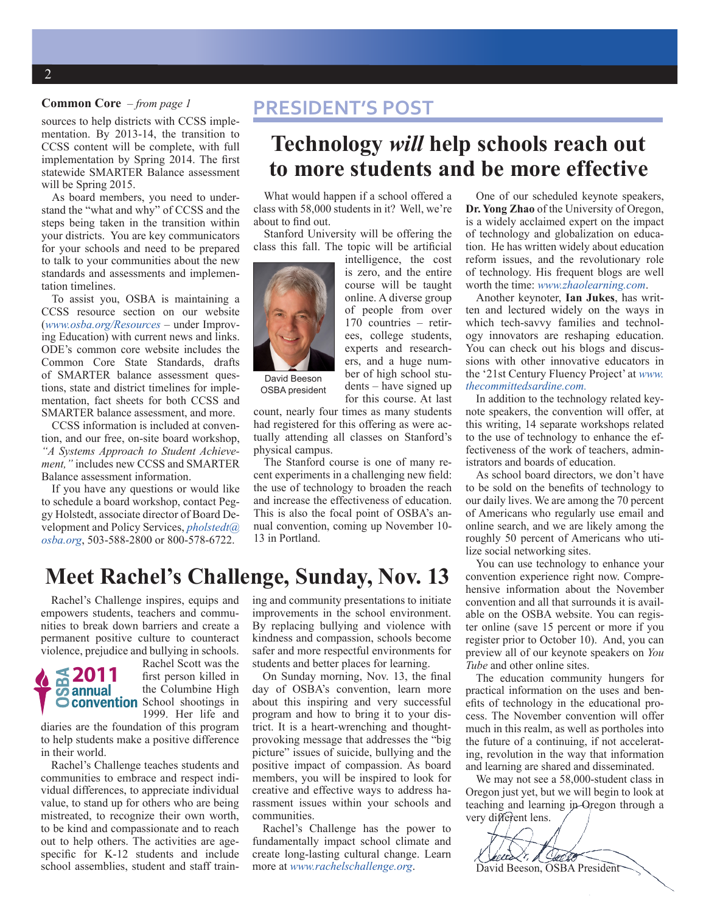sources to help districts with CCSS implementation. By 2013-14, the transition to CCSS content will be complete, with full implementation by Spring 2014. The first statewide SMARTER Balance assessment will be Spring 2015.

As board members, you need to understand the "what and why" of CCSS and the steps being taken in the transition within your districts. You are key communicators for your schools and need to be prepared to talk to your communities about the new standards and assessments and implementation timelines.

To assist you, OSBA is maintaining a CCSS resource section on our website (*<www.osba.org/Resources>* – under Improving Education) with current news and links. ODE's common core website includes the Common Core State Standards, drafts of SMARTER balance assessment questions, state and district timelines for implementation, fact sheets for both CCSS and SMARTER balance assessment, and more.

CCSS information is included at convention, and our free, on-site board workshop, *"A Systems Approach to Student Achievement,"* includes new CCSS and SMARTER Balance assessment information.

If you have any questions or would like to schedule a board workshop, contact Peggy Holstedt, associate director of Board Development and Policy Services, *pholstedt@ osba.org*, 503-588-2800 or 800-578-6722.

#### **PRESIDENT'S POST Common Core** – *from page 1*

# **Technology** *will* **help schools reach out to more students and be more effective**

What would happen if a school offered a class with 58,000 students in it? Well, we're about to find out.

Stanford University will be offering the class this fall. The topic will be artificial

> intelligence, the cost is zero, and the entire course will be taught online. A diverse group of people from over 170 countries – retirees, college students, experts and researchers, and a huge number of high school students – have signed up for this course. At last



OSBA president

count, nearly four times as many students had registered for this offering as were actually attending all classes on Stanford's physical campus.

The Stanford course is one of many recent experiments in a challenging new field: the use of technology to broaden the reach and increase the effectiveness of education. This is also the focal point of OSBA's annual convention, coming up November 10- 13 in Portland.

#### **Meet Rachel's Challenge, Sunday, Nov. 13**

Rachel's Challenge inspires, equips and empowers students, teachers and communities to break down barriers and create a permanent positive culture to counteract violence, prejudice and bullying in schools.



Rachel Scott was the first person killed in the Columbine High School shootings in 1999. Her life and

diaries are the foundation of this program to help students make a positive difference in their world.

Rachel's Challenge teaches students and communities to embrace and respect individual differences, to appreciate individual value, to stand up for others who are being mistreated, to recognize their own worth, to be kind and compassionate and to reach out to help others. The activities are agespecific for K-12 students and include school assemblies, student and staff training and community presentations to initiate improvements in the school environment. By replacing bullying and violence with kindness and compassion, schools become safer and more respectful environments for students and better places for learning.

On Sunday morning, Nov. 13, the final day of OSBA's convention, learn more about this inspiring and very successful program and how to bring it to your district. It is a heart-wrenching and thoughtprovoking message that addresses the "big picture" issues of suicide, bullying and the positive impact of compassion. As board members, you will be inspired to look for creative and effective ways to address harassment issues within your schools and communities.

Rachel's Challenge has the power to fundamentally impact school climate and create long-lasting cultural change. Learn more at *<www.rachelschallenge.org>*.

One of our scheduled keynote speakers, **Dr. Yong Zhao** of the University of Oregon, is a widely acclaimed expert on the impact of technology and globalization on education. He has written widely about education reform issues, and the revolutionary role of technology. His frequent blogs are well worth the time:*<www.zhaolearning.com>*.

Another keynoter, **Ian Jukes**, has written and lectured widely on the ways in which tech-savvy families and technology innovators are reshaping education. You can check out his blogs and discussions with other innovative educators in the '21st Century Fluency Project' at *[www.](www.thecommittedsardine.com. ) [thecommittedsardine.com.](www.thecommittedsardine.com. )* 

In addition to the technology related keynote speakers, the convention will offer, at this writing, 14 separate workshops related to the use of technology to enhance the effectiveness of the work of teachers, administrators and boards of education.

As school board directors, we don't have to be sold on the benefits of technology to our daily lives. We are among the 70 percent of Americans who regularly use email and online search, and we are likely among the roughly 50 percent of Americans who utilize social networking sites.

You can use technology to enhance your convention experience right now. Comprehensive information about the November convention and all that surrounds it is available on the OSBA website. You can register online (save 15 percent or more if you register prior to October 10). And, you can preview all of our keynote speakers on *You Tube* and other online sites.

The education community hungers for practical information on the uses and benefits of technology in the educational process. The November convention will offer much in this realm, as well as portholes into the future of a continuing, if not accelerating, revolution in the way that information and learning are shared and disseminated.

We may not see a 58,000-student class in Oregon just yet, but we will begin to look at teaching and learning in Oregon through a very different lens.

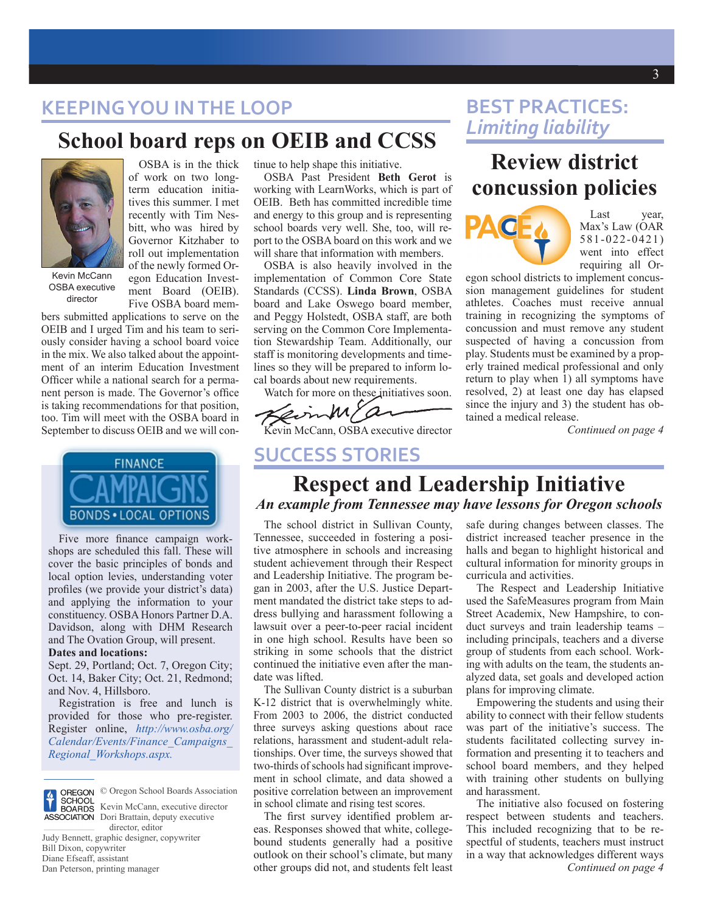#### **KEEPING YOU IN THE LOOP**

# **School board reps on OEIB and CCSS**



OSBA executive director

OSBA is in the thick of work on two longterm education initiatives this summer. I met recently with Tim Nesbitt, who was hired by Governor Kitzhaber to roll out implementation of the newly formed Oregon Education Investment Board (OEIB). Five OSBA board mem-

bers submitted applications to serve on the OEIB and I urged Tim and his team to seriously consider having a school board voice in the mix. We also talked about the appointment of an interim Education Investment Officer while a national search for a permanent person is made. The Governor's office is taking recommendations for that position, too. Tim will meet with the OSBA board in September to discuss OEIB and we will con-



Five more finance campaign workshops are scheduled this fall. These will cover the basic principles of bonds and local option levies, understanding voter profiles (we provide your district's data) and applying the information to your constituency. OSBA Honors Partner D.A. Davidson, along with DHM Research and The Ovation Group, will present.

#### **Dates and locations:**

Sept. 29, Portland; Oct. 7, Oregon City; Oct. 14, Baker City; Oct. 21, Redmond; and Nov. 4, Hillsboro.

Registration is free and lunch is provided for those who pre-register. Register online, *[http://www.osba.org/](http://www.osba.org/Calendar/Events/Finance_Campaigns_Regional_Workshops.aspx.) [Calendar/Events/Finance\\_Campaigns\\_](http://www.osba.org/Calendar/Events/Finance_Campaigns_Regional_Workshops.aspx.) [Regional\\_Workshops.aspx.](http://www.osba.org/Calendar/Events/Finance_Campaigns_Regional_Workshops.aspx.)*



© Oregon School Boards Association Kevin McCann, executive director

**ASSOCIATION** Dori Brattain, deputy executive director, editor Judy Bennett, graphic designer, copywriter Bill Dixon, copywriter Diane Efseaff, assistant

Dan Peterson, printing manager

tinue to help shape this initiative.

OSBA Past President **Beth Gerot** is working with LearnWorks, which is part of OEIB. Beth has committed incredible time and energy to this group and is representing school boards very well. She, too, will report to the OSBA board on this work and we will share that information with members.

OSBA is also heavily involved in the implementation of Common Core State Standards (CCSS). **Linda Brown**, OSBA board and Lake Oswego board member, and Peggy Holstedt, OSBA staff, are both serving on the Common Core Implementation Stewardship Team. Additionally, our staff is monitoring developments and timelines so they will be prepared to inform local boards about new requirements.

Watch for more on these initiatives soon.

Kevin McCann, OSBA executive director

#### **BEST PRACTICES:**  *Limiting liability*

# **Review district concussion policies**



Last vear. Max's Law (OAR 581-022-0421) went into effect requiring all Or-

egon school districts to implement concussion management guidelines for student athletes. Coaches must receive annual training in recognizing the symptoms of concussion and must remove any student suspected of having a concussion from play. Students must be examined by a properly trained medical professional and only return to play when 1) all symptoms have resolved, 2) at least one day has elapsed since the injury and 3) the student has obtained a medical release.

*Continued on page 4*

#### **SUCCESS STORIES**

#### **Respect and Leadership Initiative**  *An example from Tennessee may have lessons for Oregon schools*

The school district in Sullivan County, Tennessee, succeeded in fostering a positive atmosphere in schools and increasing student achievement through their Respect and Leadership Initiative. The program began in 2003, after the U.S. Justice Department mandated the district take steps to address bullying and harassment following a lawsuit over a peer-to-peer racial incident in one high school. Results have been so striking in some schools that the district continued the initiative even after the mandate was lifted.

The Sullivan County district is a suburban K-12 district that is overwhelmingly white. From 2003 to 2006, the district conducted three surveys asking questions about race relations, harassment and student-adult relationships. Over time, the surveys showed that two-thirds of schools had significant improvement in school climate, and data showed a positive correlation between an improvement in school climate and rising test scores.

The first survey identified problem areas. Responses showed that white, collegebound students generally had a positive outlook on their school's climate, but many other groups did not, and students felt least safe during changes between classes. The district increased teacher presence in the halls and began to highlight historical and cultural information for minority groups in curricula and activities.

The Respect and Leadership Initiative used the SafeMeasures program from Main Street Academix, New Hampshire, to conduct surveys and train leadership teams – including principals, teachers and a diverse group of students from each school. Working with adults on the team, the students analyzed data, set goals and developed action plans for improving climate.

Empowering the students and using their ability to connect with their fellow students was part of the initiative's success. The students facilitated collecting survey information and presenting it to teachers and school board members, and they helped with training other students on bullying and harassment.

*Continued on page 4* The initiative also focused on fostering respect between students and teachers. This included recognizing that to be respectful of students, teachers must instruct in a way that acknowledges different ways